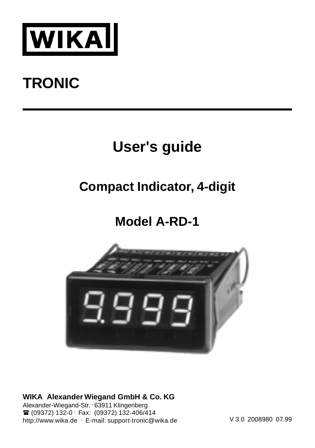

#### **TRONIC**

#### **User's guide**

#### **Compact Indicator, 4-digit**

#### **Model A-RD-1**



**WIKA Alexander Wiegand GmbH & Co. KG**

Alexander-Wiegand-Str. . 63911 Klingenberg <sup>■</sup> (09372) 132-0 · Fax: (09372) 132-406/414 http://www.wika.de . E-mail: support-tronic@wika.de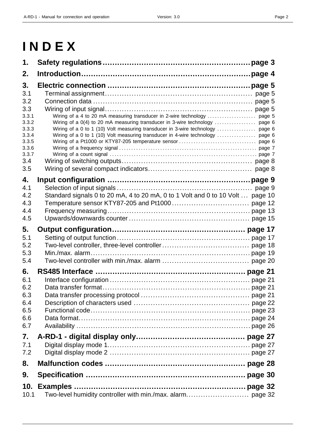## **I N D E X**

| 1.    |                                                                                |
|-------|--------------------------------------------------------------------------------|
| 2.    |                                                                                |
| 3.    |                                                                                |
| 3.1   |                                                                                |
| 3.2   |                                                                                |
| 3.3   |                                                                                |
| 3.3.1 |                                                                                |
| 3.3.2 |                                                                                |
| 3.3.3 | Wiring of a 0 to 1 (10) Volt measuring transducer in 3-wire technology  page 6 |
| 3.3.4 | Wiring of a 0 to 1 (10) Volt measuring transducer in 4-wire technology  page 6 |
| 3.3.5 |                                                                                |
| 3.3.6 |                                                                                |
| 3.3.7 |                                                                                |
| 3.4   |                                                                                |
| 3.5   |                                                                                |
| 4.    |                                                                                |
| 4.1   |                                                                                |
| 4.2   | Standard signals 0 to 20 mA, 4 to 20 mA, 0 to 1 Volt and 0 to 10 Volt  page 10 |
| 4.3   |                                                                                |
| 4.4   |                                                                                |
| 4.5   |                                                                                |
| 5.    |                                                                                |
| 5.1   |                                                                                |
| 5.2   |                                                                                |
| 5.3   |                                                                                |
| 5.4   |                                                                                |
| 6.    |                                                                                |
| 6.1   |                                                                                |
| 6.2   |                                                                                |
| 6.3   |                                                                                |
| 6.4   |                                                                                |
| 6.5   |                                                                                |
| 6.6   |                                                                                |
| 6.7   |                                                                                |
| 7.    |                                                                                |
| 7.1   |                                                                                |
| 7.2   |                                                                                |
| 8.    |                                                                                |
| 9.    |                                                                                |
| 10.   |                                                                                |
| 10.1  |                                                                                |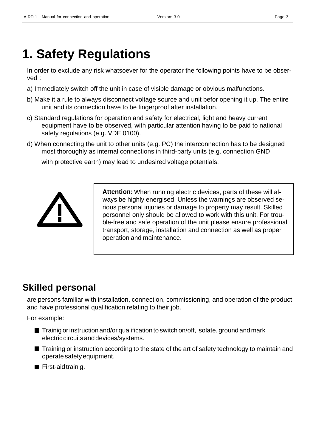## **1. Safety Regulations**

In order to exclude any risk whatsoever for the operator the following points have to be observed :

- a) Immediately switch off the unit in case of visible damage or obvious malfunctions.
- b) Make it a rule to always disconnect voltage source and unit befor opening it up. The entire unit and its connection have to be fingerproof after installation.
- c) Standard regulations for operation and safety for electrical, light and heavy current equipment have to be observed, with particular attention having to be paid to national safety regulations (e.g. VDE 0100).
- d) When connecting the unit to other units (e.g. PC) the interconnection has to be designed most thoroughly as internal connections in third-party units (e.g. connection GND

with protective earth) may lead to undesired voltage potentials.



**Attention:** When running electric devices, parts of these will always be highly energised. Unless the warnings are observed serious personal injuries or damage to property may result. Skilled personnel only should be allowed to work with this unit. For trouble-free and safe operation of the unit please ensure professional transport, storage, installation and connection as well as proper operation and maintenance.

### **Skilled personal**

are persons familiar with installation, connection, commissioning, and operation of the product and have professional qualification relating to their job.

For example:

- $\blacksquare$  Trainig or instruction and/or qualification to switch on/off, isolate, ground and mark electric circuits and devices/systems.
- Training or instruction according to the state of the art of safety technology to maintain and operate safety equipment.
- First-aid trainig.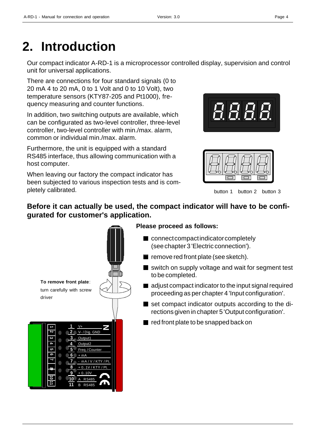## **2. Introduction**

Our compact indicator A-RD-1 is a microprocessor controlled display, supervision and control unit for universal applications.

There are connections for four standard signals (0 to 20 mA 4 to 20 mA, 0 to 1 Volt and 0 to 10 Volt), two temperature sensors (KTY87-205 and Pt1000), frequency measuring and counter functions.

In addition, two switching outputs are available, which can be configurated as two-level controller, three-level controller, two-level controller with min./max. alarm, common or individual min./max. alarm.

Furthermore, the unit is equipped with a standard RS485 interface, thus allowing communication with a host computer.

When leaving our factory the compact indicator has been subjected to various inspection tests and is completely calibrated.





button 1 button 2 button 3

#### **Before it can actually be used, the compact indicator will have to be configurated for customer's application.**



#### **Please proceed as follows:**

- connect compact indicator completely (see chapter 3 'Electric connection').
- $\blacksquare$  remove red front plate (see sketch).
- switch on supply voltage and wait for segment test to be completed.
- adjust compact indicator to the input signal required proceeding as per chapter 4 'Input configuration'.
- set compact indicator outputs according to the directions given in chapter 5 'Output configuration'.
- red front plate to be snapped back on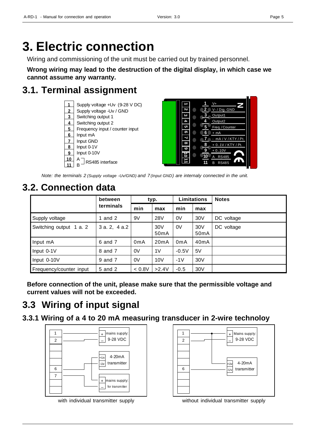## **3. Electric connection**

Wiring and commissioning of the unit must be carried out by trained personnel.

**Wrong wiring may lead to the destruction of the digital display, in which case we cannot assume any warranty.**

### **3.1. Terminal assignment**





*Note: the terminals 2 (Supply voltage -Uv/GND) and 7(Input GND) are internaly connected in the unit.*

### **3.2. Connection data**

|                         | between     | typ.             |                          | <b>Limitations</b> |                          | <b>Notes</b> |
|-------------------------|-------------|------------------|--------------------------|--------------------|--------------------------|--------------|
|                         | terminals   | min              | max                      | min                | max                      |              |
| Supply voltage          | and 2       | 9V               | <b>28V</b>               | 0V                 | 30V                      | DC voltage   |
| Switching output 1 a. 2 | 3a. 2, 4a.2 |                  | 30V<br>50 <sub>m</sub> A | 0V                 | 30V<br>50 <sub>m</sub> A | DC voltage   |
| Input mA                | 6 and 7     | 0 <sub>m</sub> A | 20mA                     | 0 <sub>m</sub> A   | 40mA                     |              |
| Input 0-1V              | 8 and 7     | 0V               | 1 <sub>V</sub>           | $-0.5V$            | 5V                       |              |
| Input 0-10V             | 9 and 7     | 0V               | 10V                      | $-1V$              | 30V                      |              |
| Frequency/counter input | 5 and 2     | < 0.8V           | >2.4V                    | $-0.5$             | 30 <sub>V</sub>          |              |

**Before connection of the unit, please make sure that the permissible voltage and current values will not be exceeded.**

### **3.3 Wiring of input signal**

**3.3.1 Wiring of a 4 to 20 mA measuring transducer in 2-wire technoloy**



with individual transmitter supply



without individual transmitter supply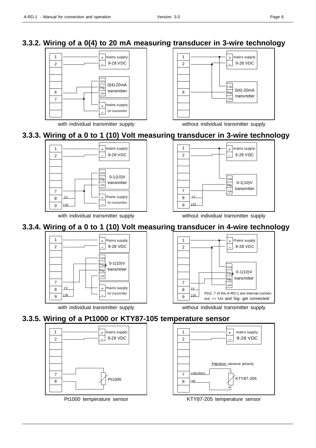#### **3.3.2. Wiring of a 0(4) to 20 mA measuring transducer in 3-wire technology**



with individual transmitter supply





### **3.3.3. Wiring of a 0 to 1 (10) Volt measuring transducer in 3-wire technology**



with individual transmitter supply without individual transmitter supply



### **3.3.4. Wiring of a 0 to 1 (10) Volt measuring transducer in 4-wire technology**





with individual transmitter supply without individual transmitter supply

#### **3.3.5. Wiring of a Pt1000 or KTY87-105 temperature sensor**



Pt1000 temperature sensor



KTY87-205 temperature sensor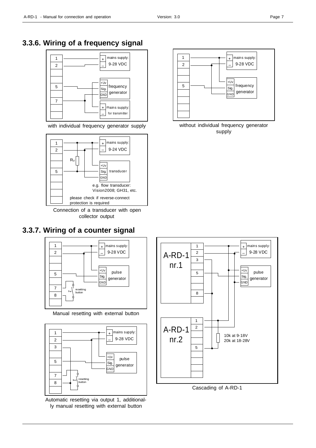#### **3.3.6. Wiring of a frequency signal**



with individual frequency generator supply



Connection of a transducer with open collector output

#### **3.3.7. Wiring of a counter signal**



Manual resetting with external button



Automatic resetting via output 1, additionally manual resetting with external button







Cascading of A-RD-1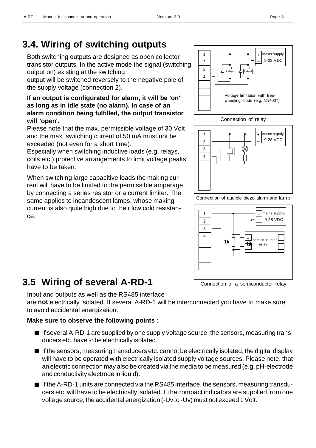Both switching outputs are designed as open collector transistor outputs. In the active mode the signal (switching output on) existing at the switching

output will be switched reversely to the negative pole of the supply voltage (connection 2).

#### **If an output is configurated for alarm, it will be 'on' as long as in idle state (no alarm). In case of an alarm condition being fulfilled, the output transistor will 'open'.**

Please note that the max. permissible voltage of 30 Volt and the max. switching current of 50 mA must not be exceeded (not even for a short time).

Especially when switching inductive loads (e.g. relays, coils etc,) protective arrangements to limit voltage peaks have to be taken.

When switching large capacitive loads the making current will have to be limited to the permissible amperage by connecting a series resistor or a current limiter. The same applies to incandescent lamps, whose making current is also quite high due to their low cold resistance.

### **3.5 Wiring of several A-RD-1**

Input and outputs as well as the RS485 interface are **not** electrically isolated. If several A-RD-1 will be interconnected you have to make sure to avoid accidental energization.

### **Make sure to observe the following points :**

- If several A-RD-1 are supplied by one supply voltage source, the sensors, measuring transducers etc. have to be electrically isolated.
- $\blacksquare$  If the sensors, measuring transducers etc. cannot be electrically isolated, the digital display will have to be operated with electrically isolated supply voltage sources. Please note, that an electric connection may also be created via the media to be measured (e.g. pH-electrode and conductivity electrode in liquid).
- If the A-RD-1 units are connected via the RS485 interface, the sensors, measuring transducers etc. will have to be electrically isolated. If the compact indicators are supplied from one voltage source, the accidental energization (-Uv to -Uv) must not exceed 1 Volt.



Connection of audible piezo alarm and lamp





+ \_ Relay1

+ \_ Relay2 +  $\overline{a}$ 

mains supply: 9-28 VDC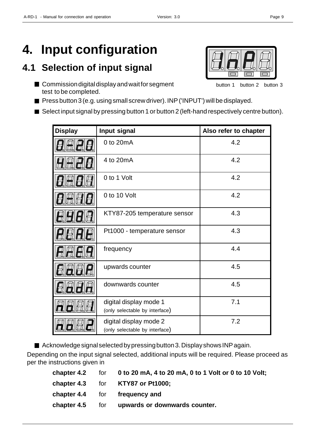### **4.1 Selection of input signal**

- Commission digital display and wait for segment test to be completed.
- Press button 3 (e.g. using small screw driver). INP ('INPUT') will be displayed.
- Select input signal by pressing button 1 or button 2 (left-hand respectively centre button).

| <b>Display</b> | Input signal                                             | Also refer to chapter |
|----------------|----------------------------------------------------------|-----------------------|
|                | 0 to 20mA                                                | 4.2                   |
|                | 4 to 20mA                                                | 4.2                   |
|                | 0 to 1 Volt                                              | 4.2                   |
|                | 0 to 10 Volt                                             | 4.2                   |
|                | KTY87-205 temperature sensor                             | 4.3                   |
|                | Pt1000 - temperature sensor                              | 4.3                   |
|                | frequency                                                | 4.4                   |
|                | upwards counter                                          | 4.5                   |
|                | downwards counter                                        | 4.5                   |
|                | digital display mode 1<br>(only selectable by interface) | 7.1                   |
|                | digital display mode 2<br>(only selectable by interface) | 7.2                   |

■ Acknowledge signal selected by pressing button 3. Display shows INP again.

Depending on the input signal selected, additional inputs will be required. Please proceed as per the instructions given in

|  | chapter 4.2 for $\,0\,$ to 20 mA, 4 to 20 mA, 0 to 1 Volt or 0 to 10 Volt; |
|--|----------------------------------------------------------------------------|
|  | chapter 4.3 for KTY87 or Pt1000;                                           |
|  | chapter 4.4 for frequency and                                              |
|  | chapter 4.5 for upwards or downwards counter.                              |
|  |                                                                            |

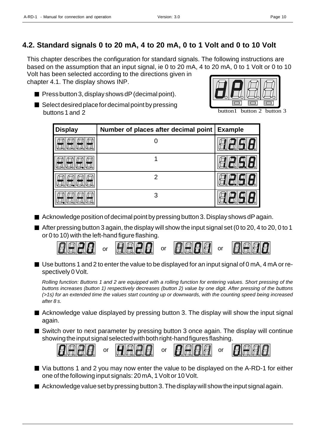#### **4.2. Standard signals 0 to 20 mA, 4 to 20 mA, 0 to 1 Volt and 0 to 10 Volt**

This chapter describes the configuration for standard signals. The following instructions are based on the assumption that an input signal, ie 0 to 20 mA, 4 to 20 mA, 0 to 1 Volt or 0 to 10 Volt has been selected according to the directions given in

chapter 4.1. The display shows INP.

- $\blacksquare$  Press button 3, display shows dP (decimal point).
- $\blacksquare$  Select desired place for decimal point by pressing buttons 1 and 2

| <b>Display</b> | Number of places after decimal point | <b>Example</b> |
|----------------|--------------------------------------|----------------|
|                |                                      |                |
|                |                                      |                |
|                | 2                                    |                |
|                | 3                                    |                |

- Acknowledge position of decimal point by pressing button 3. Display shows dP again.
- $\blacksquare$  After pressing button 3 again, the display will show the input signal set (0 to 20, 4 to 20, 0 to 1 or 0 to 10) with the left-hand figure flashing.



■ Use buttons 1 and 2 to enter the value to be displayed for an input signal of 0 mA, 4 mA or respectively 0 Volt.

*Rolling function: Buttons 1 and 2 are equipped with a rolling function for entering values. Short pressing of the buttons increases (button 1) respectively decreases (button 2) value by one digit. After pressing of the buttons (>1s) for an extended time the values start counting up or downwards, with the counting speed being increased after 8 s.*

- Acknowledge value displayed by pressing button 3. The display will show the input signal again.
- Switch over to next parameter by pressing button 3 once again. The display will continue showing the input signal selected with both right-hand figures flashing.



- Via buttons 1 and 2 you may now enter the value to be displayed on the A-RD-1 for either one of the following input signals: 20 mA, 1 Volt or 10 Volt.
- $\blacksquare$  Acknowledge value set by pressing button 3. The display will show the input signal again.



button1 button 2 button 3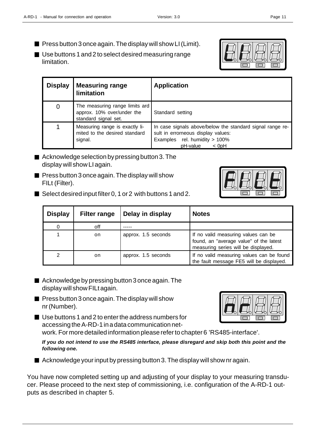- $\blacksquare$  Press button 3 once again. The display will show LI (Limit).
- Use buttons 1 and 2 to select desired measuring range limitation.

| <b>Display</b> | <b>Measuring range</b><br>limitation                                                 | <b>Application</b>                                                                                                                                      |  |
|----------------|--------------------------------------------------------------------------------------|---------------------------------------------------------------------------------------------------------------------------------------------------------|--|
| 0              | The measuring range limits ard<br>approx. 10% over/under the<br>standard signal set. | Standard setting                                                                                                                                        |  |
|                | Measuring range is exactly li-<br>mited to the desired standard<br>signal.           | In case signals above/below the standard signal range re-<br>sult in errorneous display values:<br>Examples rel. humidity > 100%<br>pH-value<br>$<$ OpH |  |

- Acknowledge selection by pressing button 3. The display will show LI again.
- $\blacksquare$  Press button 3 once again. The display will show FILt (Filter).
- Select desired input filter 0, 1 or 2 with buttons 1 and 2.

| <b>Display</b> | <b>Filter range</b> | Delay in display    | <b>Notes</b>                                                                                                          |
|----------------|---------------------|---------------------|-----------------------------------------------------------------------------------------------------------------------|
|                | off                 |                     |                                                                                                                       |
|                | on.                 | approx. 1.5 seconds | If no valid measuring values can be<br>found, an "average value" of the latest<br>measuring series will be displayed. |
| 2              | on.                 | approx. 1.5 seconds | If no valid measuring values can be found<br>the fault message FE5 will be displayed.                                 |

- Acknowledge by pressing button 3 once again. The display will show FILt again.
- $\blacksquare$  Press button 3 once again. The display will show nr (Number).
- Use buttons 1 and 2 to enter the address numbers for accessing the A-RD-1 in a data communication network. For more detailed information please refer to chapter 6 'RS485-interface'.

*If you do not intend to use the RS485 interface, please disregard and skip both this point and the following one.*

■ Acknowledge your input by pressing button 3. The display will show nr again.

You have now completed setting up and adjusting of your display to your measuring transducer. Please proceed to the next step of commissioning, i.e. configuration of the A-RD-1 outputs as described in chapter 5.

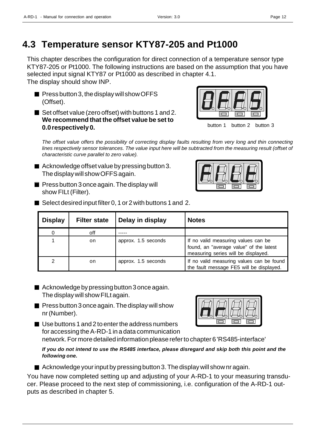### **4.3 Temperature sensor KTY87-205 and Pt1000**

This chapter describes the configuration for direct connection of a temperature sensor type KTY87-205 or Pt1000. The following instructions are based on the assumption that you have selected input signal KTY87 or Pt1000 as described in chapter 4.1. The display should show INP.

- $\blacksquare$  Press button 3, the display will show OFFS (Offset).
- Set offset value (zero offset) with buttons 1 and 2. **We recommend that the offset value be set to 0.0 respectively 0.**



button 1 button 2 button 3

*The offset value offers the possibility of correcting display faults resulting from very long and thin connecting lines respectively sensor tolerances. The value input here will be subtracted from the measuring result (offset of characteristic curve parallel to zero value).*

- Acknowledge offset value by pressing button 3. The display will show OFFS again.
- $\blacksquare$  Press button 3 once again. The display will show FILt (Filter).



■ Select desired input filter 0, 1 or 2 with buttons 1 and 2.

| <b>Display</b> | <b>Filter state</b> | Delay in display    | <b>Notes</b>                                                                                                          |
|----------------|---------------------|---------------------|-----------------------------------------------------------------------------------------------------------------------|
| 0              | off                 |                     |                                                                                                                       |
|                | on                  | approx. 1.5 seconds | If no valid measuring values can be<br>found, an "average value" of the latest<br>measuring series will be displayed. |
| 2              | on                  | approx. 1.5 seconds | If no valid measuring values can be found<br>the fault message FE5 will be displayed.                                 |

- Acknowledge by pressing button 3 once again. The display will show FILt again.
- $\blacksquare$  Press button 3 once again. The display will show nr (Number).



■ Use buttons 1 and 2 to enter the address numbers for accessing the A-RD-1 in a data communication

network. For more detailed information please refer to chapter 6 'RS485-interface'

*If you do not intend to use the RS485 interface, please disregard and skip both this point and the following one.*

 $\blacksquare$  Acknowledge your input by pressing button 3. The display will show nr again.

You have now completed setting up and adjusting of your A-RD-1 to your measuring transducer. Please proceed to the next step of commissioning, i.e. configuration of the A-RD-1 outputs as described in chapter 5.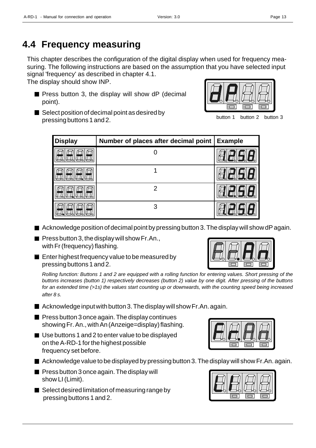### **4.4 Frequency measuring**

This chapter describes the configuration of the digital display when used for frequency measuring. The following instructions are based on the assumption that you have selected input signal 'frequency' as described in chapter 4.1.

The display should show INP.

 $\blacksquare$  Press button 3, the display will show dP (decimal point).



Select position of decimal point as desired by pressing buttons 1 and 2.

button 1 button 2 button 3

| <b>Display</b> | Number of places after decimal point | <b>Example</b> |
|----------------|--------------------------------------|----------------|
|                |                                      |                |
|                |                                      |                |
|                | 2                                    |                |
|                | 3                                    |                |

- $\blacksquare$  Acknowledge position of decimal point by pressing button 3. The display will show dP again.
- **Press button 3, the display will show Fr.An.,** with Fr (frequency) flashing.
- **E** Enter highest frequency value to be measured by pressing buttons 1 and 2.

*Rolling function: Buttons 1 and 2 are equipped with a rolling function for entering values. Short pressing of the buttons increases (button 1) respectively decreases (button 2) value by one digit. After pressing of the buttons for an extended time (>1s) the values start counting up or downwards, with the counting speed being increased after 8 s.*

- $\blacksquare$  Acknowledge input with button 3. The display will show Fr.An. again.
- $\blacksquare$  Press button 3 once again. The display continues showing Fr. An., with An (Anzeige=display) flashing.
- Use buttons 1 and 2 to enter value to be displayed on the A-RD-1 for the highest possible frequency set before.
- $\blacksquare$  Acknowledge value to be displayed by pressing button 3. The display will show Fr.An. again.
- $\blacksquare$  Press button 3 once again. The display will show LI (Limit).
- $\blacksquare$  Select desired limitation of measuring range by pressing buttons 1 and 2.





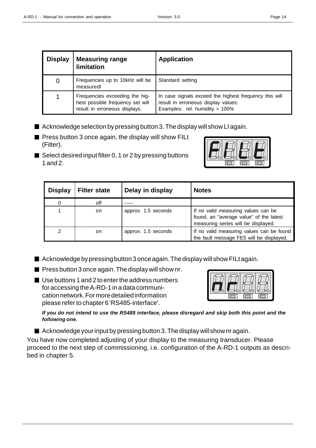| <b>Measuring range</b><br><b>Display</b><br>limitation                                              |                                             | <b>Application</b>                                                                                                              |  |
|-----------------------------------------------------------------------------------------------------|---------------------------------------------|---------------------------------------------------------------------------------------------------------------------------------|--|
| 0                                                                                                   | Frequencies up to 10kHz will be<br>measured | Standard setting                                                                                                                |  |
| Frequencies exceeding the hig-<br>hest possible frequency set will<br>result in erroneous displays. |                                             | In case signals exceed the highest frequency this will<br>result in erroneous display values:<br>Examples: rel. humidity > 100% |  |

- $\blacksquare$  Acknowledge selection by pressing button 3. The display will show LI again.
- $\blacksquare$  Press button 3 once again, the display will show FILt (Filter).
- $\blacksquare$  Select desired input filter 0, 1 or 2 by pressing buttons 1 and 2.



| <b>Display</b> | <b>Filter state</b> | Delay in display    | <b>Notes</b>                                                                                                          |
|----------------|---------------------|---------------------|-----------------------------------------------------------------------------------------------------------------------|
|                | off                 |                     |                                                                                                                       |
|                | on                  | approx. 1.5 seconds | If no valid measuring values can be<br>found, an "average value" of the latest<br>measuring series will be displayed. |
| 2              | on.                 | approx. 1.5 seconds | If no valid measuring values can be found<br>the fault message FE5 will be displayed.                                 |

- $\blacksquare$  Acknowledge by pressing button 3 once again. The display will show FILt again.
- **Press button 3 once again. The display will show nr.**
- Use buttons 1 and 2 to enter the address numbers for accessing the A-RD-1 in a data communication network. For more detailed information please refer to chapter 6 'RS485-interface'.



*If you do not intend to use the RS485 interface, please disregard and skip both this point and the following one.*

 $\blacksquare$  Acknowledge your input by pressing button 3. The display will show nr again.

You have now completed adjusting of your display to the measuring transducer. Please proceed to the next step of commissioning, i.e. configuration of the A-RD-1 outputs as described in chapter 5.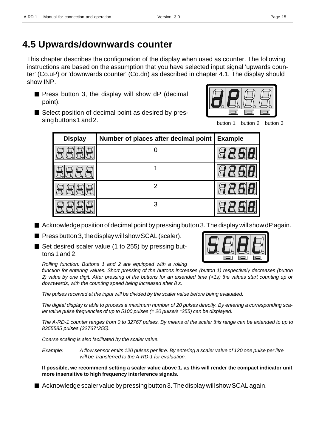### **4.5 Upwards/downwards counter**

This chapter describes the configuration of the display when used as counter. The following instructions are based on the assumption that you have selected input signal 'upwards counter' (Co.uP) or 'downwards counter' (Co.dn) as described in chapter 4.1. The display should show INP.

**Press button 3, the display will show dP (decimal** point).



button 1 button 2 button 3

Select position of decimal point as desired by pressing buttons 1 and 2.

| <b>Display</b> | Number of places after decimal point | Example |
|----------------|--------------------------------------|---------|
|                |                                      |         |
|                |                                      |         |
|                | 2                                    |         |
|                | 3                                    |         |

- Acknowledge position of decimal point by pressing button 3. The display will show dP again.
- **Press button 3, the display will show SCAL (scaler).**
- Set desired scaler value (1 to 255) by pressing buttons 1 and 2.

*Rolling function: Buttons 1 and 2 are equipped with a rolling*

*function for entering values. Short pressing of the buttons increases (button 1) respectively decreases (button 2) value by one digit. After pressing of the buttons for an extended time (>1s) the values start counting up or downwards, with the counting speed being increased after 8 s.*

*The pulses received at the input will be divided by the scaler value before being evaluated.*

*The digital display is able to process a maximum number of 20 pulses directly. By entering a corresponding scaler value pulse frequencies of up to 5100 pulses (= 20 pulse/s \*255) can be displayed.*

*The A-RD-1 counter ranges from 0 to 32767 pulses. By means of the scaler this range can be extended to up to 8355585 pulses (32767\*255).*

*Coarse scaling is also facilitated by the scaler value.*

*Example: A flow sensor emits 120 pulses per litre. By entering a scaler value of 120 one pulse per litre will be transferred to the A-RD-1 for evaluation.*

**If possible, we recommend setting a scaler value above 1, as this will render the compact indicator unit more insensitive to high frequency interference signals.**

■ Acknowledge scaler value by pressing button 3. The display will show SCAL again.



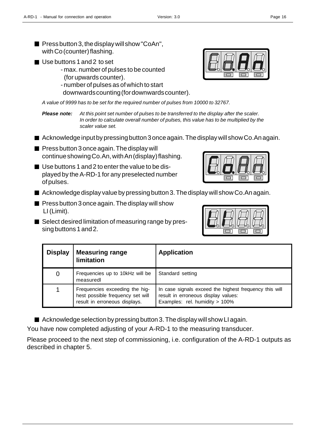- **Press button 3, the display will show "CoAn",** with Co (counter) flashing.
- Use buttons 1 and 2 to set
	- max. number of pulses to be counted (for upwards counter).
	- number of pulses as of which to start
	- downwards counting (for downwards counter).

*A value of 9999 has to be set for the required number of pulses from 10000 to 32767.*

*Please note: At this point set number of pulses to be transferred to the display after the scaler. In order to calculate overall number of pulses, this value has to be multiplied by the scaler value set.*

- Acknowledge input by pressing button 3 once again. The display will show Co.An again.
- $\blacksquare$  Press button 3 once again. The display will continue showing Co.An, with An (display) flashing.
- Use buttons 1 and 2 to enter the value to be displayed by the A-RD-1 for any preselected number of pulses.
- Acknowledge display value by pressing button 3. The display will show Co.An again.
- $\blacksquare$  Press button 3 once again. The display will show LI (Limit).
- Select desired limitation of measuring range by pressing buttons 1 and 2.

| <b>Display</b> | <b>Measuring range</b><br>limitation                                                                | <b>Application</b>                                                                                                              |
|----------------|-----------------------------------------------------------------------------------------------------|---------------------------------------------------------------------------------------------------------------------------------|
| 0              | Frequencies up to 10kHz will be<br>measuredl                                                        | Standard setting                                                                                                                |
|                | Frequencies exceeding the hig-<br>hest possible frequency set will<br>result in erroneous displays. | In case signals exceed the highest frequency this will<br>result in erroneous display values:<br>Examples: rel. humidity > 100% |

■ Acknowledge selection by pressing button 3. The display will show LI again.

You have now completed adjusting of your A-RD-1 to the measuring transducer.

Please proceed to the next step of commissioning, i.e. configuration of the A-RD-1 outputs as described in chapter 5.



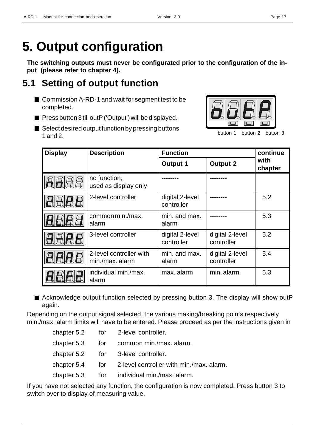## **5. Output configuration**

**The switching outputs must never be configurated prior to the configuration of the input (please refer to chapter 4).**

### **5.1 Setting of output function**

- Commission A-RD-1 and wait for segment test to be completed.
- $\blacksquare$  Press button 3 till outP ('Output') will be displayed.
- $\blacksquare$  Select desired output function by pressing buttons 1 and 2.



button 1 button 2 button 3

| <b>Display</b> | <b>Description</b>                         | <b>Function</b>               |                               | continue        |
|----------------|--------------------------------------------|-------------------------------|-------------------------------|-----------------|
|                |                                            | <b>Output 1</b>               | <b>Output 2</b>               | with<br>chapter |
|                | no function,<br>used as display only       |                               |                               |                 |
|                | 2-level controller                         | digital 2-level<br>controller |                               | 5.2             |
|                | common min./max.<br>alarm                  | min. and max.<br>alarm        |                               | 5.3             |
|                | 3-level controller                         | digital 2-level<br>controller | digital 2-level<br>controller | 5.2             |
| 8.8.8          | 2-level controller with<br>min./max. alarm | min. and max.<br>alarm        | digital 2-level<br>controller | 5.4             |
|                | individual min./max.<br>alarm              | max. alarm                    | min. alarm                    | 5.3             |

■ Acknowledge output function selected by pressing button 3. The display will show outP again.

Depending on the output signal selected, the various making/breaking points respectively min./max. alarm limits will have to be entered. Please proceed as per the instructions given in

|  | chapter 5.2 for 2-level controller.                      |
|--|----------------------------------------------------------|
|  | chapter 5.3 for common min./max. alarm.                  |
|  | chapter 5.2 for 3-level controller.                      |
|  | chapter 5.4 for 2-level controller with min./max. alarm. |
|  | chapter 5.3 for individual min./max. alarm.              |

If you have not selected any function, the configuration is now completed. Press button 3 to switch over to display of measuring value.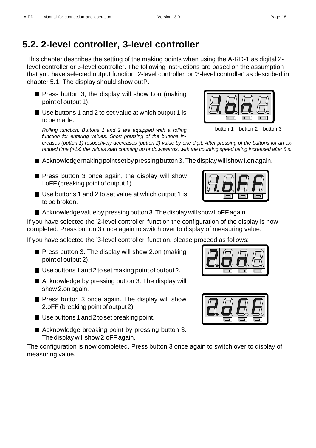This chapter describes the setting of the making points when using the A-RD-1 as digital 2 level controller or 3-level controller. The following instructions are based on the assumption that you have selected output function '2-level controller' or '3-level controller' as described in chapter 5.1. The display should show outP.

- $\blacksquare$  Press button 3, the display will show I.on (making point of output 1).
- Use buttons 1 and 2 to set value at which output 1 is to be made.

*Rolling function: Buttons 1 and 2 are equipped with a rolling function for entering values. Short pressing of the buttons in-*

*creases (button 1) respectively decreases (button 2) value by one digit. After pressing of the buttons for an extended time (>1s) the values start counting up or downwards, with the counting speed being increased after 8 s.*

- $\blacksquare$  Acknowledge making point set by pressing button 3. The display will show I.on again.
- $\blacksquare$  Press button 3 once again, the display will show I.oFF (breaking point of output 1).
- Use buttons 1 and 2 to set value at which output 1 is to be broken.
- $\blacksquare$  Acknowledge value by pressing button 3. The display will show I.oFF again.

If you have selected the '2-level controller' function the configuration of the display is now completed. Press button 3 once again to switch over to display of measuring value.

If you have selected the '3-level controller' function, please proceed as follows:

- **Press button 3. The display will show 2.on (making** point of output 2).
- Use buttons 1 and 2 to set making point of output 2.
- Acknowledge by pressing button 3. The display will show 2.on again.
- **Press button 3 once again. The display will show** 2.oFF (breaking point of output 2).
- $\blacksquare$  Use buttons 1 and 2 to set breaking point.
- Acknowledge breaking point by pressing button 3. The display will show 2.oFF again.

The configuration is now completed. Press button 3 once again to switch over to display of measuring value.







button 1 button 2 button 3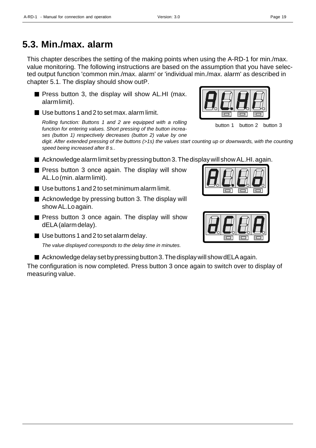### **5.3. Min./max. alarm**

This chapter describes the setting of the making points when using the A-RD-1 for min./max. value monitoring. The following instructions are based on the assumption that you have selected output function 'common min./max. alarm' or 'individual min./max. alarm' as described in chapter 5.1. The display should show outP.

- $\blacksquare$  Press button 3, the display will show AL.HI (max. alarm limit).
- Use buttons 1 and 2 to set max. alarm limit.

*Rolling function: Buttons 1 and 2 are equipped with a rolling function for entering values. Short pressing of the button increases (button 1) respectively decreases (button 2) value by one*

*digit. After extended pressing of the buttons (>1s) the values start counting up or downwards, with the counting speed being increased after 8 s.*.

- $\blacksquare$  Acknowledge alarm limit set by pressing button 3. The display will show AL.HI. again.
- **Press button 3 once again. The display will show** AL.Lo (min. alarm limit).
- Use buttons 1 and 2 to set minimum alarm limit.
- Acknowledge by pressing button 3. The display will show AL.Lo again.
- $\blacksquare$  Press button 3 once again. The display will show dELA (alarm delay).
- Use buttons 1 and 2 to set alarm delay.

*The value displayed corresponds to the delay time in minutes.*

 $\blacksquare$  Acknowledge delay set by pressing button 3. The display will show dELA again.

The configuration is now completed. Press button 3 once again to switch over to display of measuring value.



button 1 button 2 button 3

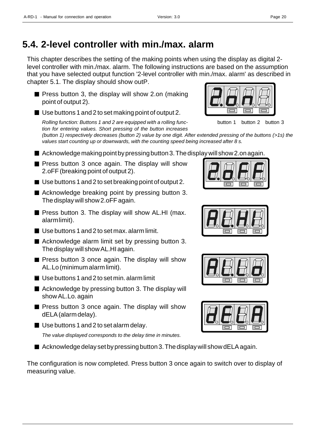### **5.4. 2-level controller with min./max. alarm**

This chapter describes the setting of the making points when using the display as digital 2 level controller with min./max. alarm. The following instructions are based on the assumption that you have selected output function '2-level controller with min./max. alarm' as described in chapter 5.1. The display should show outP.

- **Press button 3, the display will show 2.on (making** point of output 2).
- Use buttons 1 and 2 to set making point of output 2.

*Rolling function: Buttons 1 and 2 are equipped with a rolling function for entering values. Short pressing of the button increases*



button 1 button 2 button 3

*(button 1) respectively decreases (button 2) value by one digit. After extended pressing of the buttons (>1s) the values start counting up or downwards, with the counting speed being increased after 8 s.*

- $\blacksquare$  Acknowledge making point by pressing button 3. The display will show 2.on again.
- **Press button 3 once again. The display will show** 2.oFF (breaking point of output 2).
- Use buttons 1 and 2 to set breaking point of output 2.
- Acknowledge breaking point by pressing button 3. The display will show 2.oFF again.
- **Press button 3. The display will show AL.HI (max.** alarm limit).
- Use buttons 1 and 2 to set max, alarm limit.
- Acknowledge alarm limit set by pressing button 3. The display will show AL.HI again.
- **Press button 3 once again. The display will show** AL.Lo (minimum alarm limit).
- Use buttons 1 and 2 to set min. alarm limit
- Acknowledge by pressing button 3. The display will show AL.Lo. again
- $\blacksquare$  Press button 3 once again. The display will show dELA (alarm delay).
- Use buttons 1 and 2 to set alarm delay. *The value displayed corresponds to the delay time in minutes.*
- Acknowledge delay set by pressing button 3. The display will show dELA again.

The configuration is now completed. Press button 3 once again to switch over to display of measuring value.







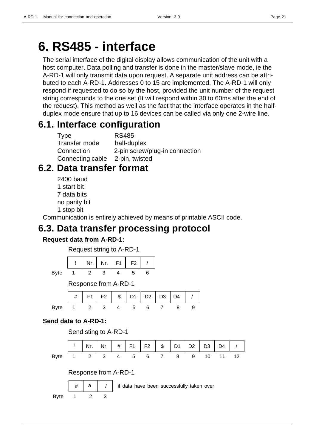## **6. RS485 - interface**

The serial interface of the digital display allows communication of the unit with a host computer. Data polling and transfer is done in the master/slave mode, ie the A-RD-1 will only transmit data upon request. A separate unit address can be attributed to each A-RD-1. Addresses 0 to 15 are implemented. The A-RD-1 will only respond if requested to do so by the host, provided the unit number of the request string corresponds to the one set (It will respond within 30 to 60ms after the end of the request). This method as well as the fact that the interface operates in the halfduplex mode ensure that up to 16 devices can be called via only one 2-wire line.

### **6.1. Interface configuration**

| Type                            | <b>RS485</b>                   |
|---------------------------------|--------------------------------|
| Transfer mode                   | half-duplex                    |
| Connection                      | 2-pin screw/plug-in connection |
| Connecting cable 2-pin, twisted |                                |

### **6.2. Data transfer format**

2400 baud 1 start bit 7 data bits no parity bit 1 stop bit

Communication is entirely achieved by means of printable ASCII code.

### **6.3. Data transfer processing protocol**

#### **Request data from A-RD-1:**



Byte 1 2 3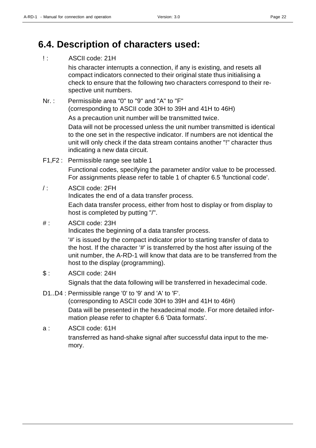### **6.4. Description of characters used:**

#### !: ASCII code: 21H

his character interrupts a connection, if any is existing, and resets all compact indicators connected to their original state thus initialising a check to ensure that the following two characters correspond to their respective unit numbers.

Nr. : Permissible area "0" to "9" and "A" to "F" (corresponding to ASCII code 30H to 39H and 41H to 46H) As a precaution unit number will be transmitted twice.

> Data will not be processed unless the unit number transmitted is identical to the one set in the respective indicator. If numbers are not identical the unit will only check if the data stream contains another "!" character thus indicating a new data circuit.

F1,F2 : Permissible range see table 1

Functional codes, specifying the parameter and/or value to be processed. For assignments please refer to table 1 of chapter 6.5 'functional code'.

#### / : ASCII code: 2FH

Indicates the end of a data transfer process.

Each data transfer process, either from host to display or from display to host is completed by putting "/".

#### #: ASCII code: 23H

Indicates the beginning of a data transfer process.

'#' is issued by the compact indicator prior to starting transfer of data to the host. If the character '#' is transferred by the host after issuing of the unit number, the A-RD-1 will know that data are to be transferred from the host to the display (programming).

- \$ : ASCII code: 24H Signals that the data following will be transferred in hexadecimal code.
- D1..D4 : Permissible range '0' to '9' and 'A' to 'F'.

(corresponding to ASCII code 30H to 39H and 41H to 46H) Data will be presented in the hexadecimal mode. For more detailed information please refer to chapter 6.6 'Data formats'.

a : ASCII code: 61H transferred as hand-shake signal after successful data input to the memory.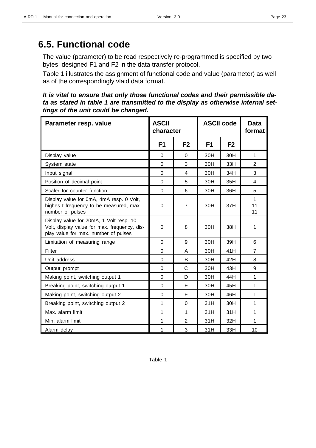### **6.5. Functional code**

The value (parameter) to be read respectively re-programmed is specified by two bytes, designed F1 and F2 in the data transfer protocol.

Table 1 illustrates the assignment of functional code and value (parameter) as well as of the correspondingly vlaid data format.

*It is vital to ensure that only those functional codes and their permissible data as stated in table 1 are transmitted to the display as otherwise internal settings of the unit could be changed.*

| Parameter resp. value                                                                                                           | <b>ASCII</b><br>character |                | <b>ASCII code</b> |                | <b>Data</b><br>format |
|---------------------------------------------------------------------------------------------------------------------------------|---------------------------|----------------|-------------------|----------------|-----------------------|
|                                                                                                                                 | F1                        | F <sub>2</sub> | F1                | F <sub>2</sub> |                       |
| Display value                                                                                                                   | $\Omega$                  | 0              | 30H               | 30H            | 1                     |
| System state                                                                                                                    | 0                         | 3              | 30H               | 33H            | 2                     |
| Input signal                                                                                                                    | $\overline{0}$            | 4              | 30H               | 34H            | 3                     |
| Position of decimal point                                                                                                       | $\Omega$                  | 5              | 30H               | 35H            | 4                     |
| Scaler for counter function                                                                                                     | $\overline{0}$            | 6              | 30H               | 36H            | 5                     |
| Display value for 0mA, 4mA resp. 0 Volt,<br>highes t frequency to be measured, max.<br>number of pulses                         | 0                         | $\overline{7}$ | 30H               | 37H            | 1<br>11<br>11         |
| Display value for 20mA, 1 Volt resp. 10<br>Volt, display value for max. frequency, dis-<br>play value for max. number of pulses | $\Omega$                  | 8              | 30H               | 38H            | 1                     |
| Limitation of measuring range                                                                                                   | $\Omega$                  | 9              | 30H               | 39H            | 6                     |
| Filter                                                                                                                          | $\Omega$                  | A              | 30H               | 41H            | $\overline{7}$        |
| Unit address                                                                                                                    | 0                         | B              | 30H               | 42H            | 8                     |
| Output prompt                                                                                                                   | $\Omega$                  | C              | 30H               | 43H            | 9                     |
| Making point, switching output 1                                                                                                | $\overline{0}$            | D              | 30H               | 44H            | 1                     |
| Breaking point, switching output 1                                                                                              | 0                         | E              | 30H               | 45H            | 1                     |
| Making point, switching output 2                                                                                                | $\overline{0}$            | F              | 30H               | 46H            | 1                     |
| Breaking point, switching output 2                                                                                              | 1                         | 0              | 31H               | 30H            | 1                     |
| Max. alarm limit                                                                                                                | 1                         | 1              | 31H               | 31H            | 1                     |
| Min. alarm limit                                                                                                                | $\mathbf{1}$              | $\overline{2}$ | 31H               | 32H            | 1                     |
| Alarm delay                                                                                                                     | 1                         | 3              | 31H               | 33H            | 10                    |

Table 1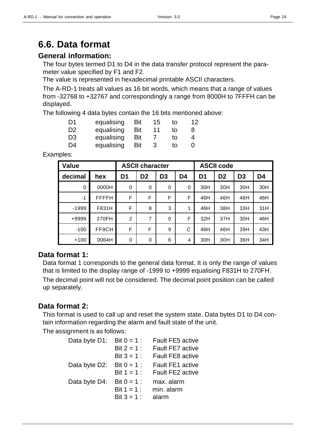### **6.6. Data format**

#### **General information:**

The four bytes termed D1 to D4 in the data transfer protocol represent the parameter value specified by F1 and F2.

The value is represented in hexadecimal printable ASCII characters.

The A-RD-1 treats all values as 16 bit words, which means that a range of values from -32768 to +32767 and correspondingly a range from 8000H to 7FFFH can be displayed.

The following 4 data bytes contain the 16 bits mentioned above:

| D1             | equalising | Bit | 15 | tΩ | 12 |
|----------------|------------|-----|----|----|----|
| D <sub>2</sub> | equalising | Bit | 11 | tΩ | 8  |
| D <sub>3</sub> | equalising | Bit |    | to | 4  |
| D4             | equalising | Bit |    | tΩ | 0  |

Examples:

| Value       | <b>ASCII character</b> |                |                |                |                |                |                | <b>ASCII code</b> |                |  |
|-------------|------------------------|----------------|----------------|----------------|----------------|----------------|----------------|-------------------|----------------|--|
| decimal     | hex                    | D <sub>1</sub> | D <sub>2</sub> | D <sub>3</sub> | D <sub>4</sub> | D <sub>1</sub> | D <sub>2</sub> | D <sub>3</sub>    | D <sub>4</sub> |  |
| $\mathbf 0$ | 0000H                  | $\Omega$       | 0              | $\Omega$       | 0              | 30H            | 30H            | 30H               | 30H            |  |
| $-1$        | <b>FFFFH</b>           | F              | F              | F              | F              | 46H            | 46H            | 46H               | 46H            |  |
| $-1999$     | F831H                  | F              | 8              | 3              | 1              | 46H            | 38H            | 33H               | 31H            |  |
| +9999       | 270FH                  | $\overline{2}$ | 7              | $\Omega$       | F              | 32H            | 37H            | 30H               | 46H            |  |
| $-100$      | FF9CH                  | F              | F              | 9              | С              | 46H            | 46H            | 39H               | 43H            |  |
| $+100$      | 0064H                  | $\mathbf 0$    | 0              | 6              | 4              | 30H            | 30H            | 36H               | 34H            |  |

#### **Data format 1:**

Data format 1 corresponds to the general data format. It is only the range of values that is limited to the display range of -1999 to +9999 equalising F831H to 270FH. The decimal point will not be considered. The decimal point position can be called up separately.

#### **Data format 2:**

This format is used to call up and reset the system state. Data bytes D1 to D4 contain information regarding the alarm and fault state of the unit.

The assignment is as follows:

| Data byte D1: | Bit $0 = 1$ : | <b>Fault FE5 active</b> |
|---------------|---------------|-------------------------|
|               | Bit $2 = 1$ : | <b>Fault FE7 active</b> |
|               | Bit $3 = 1$ : | <b>Fault FE8 active</b> |
| Data byte D2: | Bit $0 = 1$ : | <b>Fault FE1 active</b> |
|               | Bit $1 = 1$ : | <b>Fault FE2 active</b> |
| Data byte D4: | Bit $0 = 1$ : | max. alarm              |
|               | Bit $1 = 1$ : | min. alarm              |
|               | Bit $3 = 1$ : | alarm                   |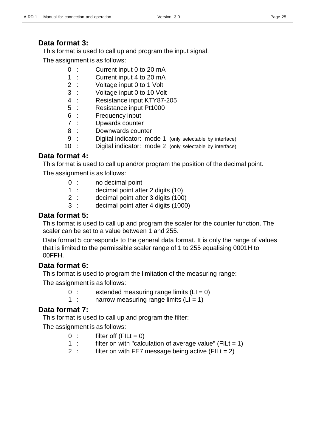This format is used to call up and program the input signal.

The assignment is as follows:

- 0 : Current input 0 to 20 mA
- 1 : Current input 4 to 20 mA
- 2 : Voltage input 0 to 1 Volt
- 3 : Voltage input 0 to 10 Volt
- 4 : Resistance input KTY87-205
- 5 : Resistance input Pt1000
- 6 : Frequency input
- 7 : Upwards counter
- 8 : Downwards counter
- 9 : Digital indicator: mode 1 (only selectable by interface)
- 10 : Digital indicator: mode 2 (only selectable by interface)

#### **Data format 4:**

This format is used to call up and/or program the position of the decimal point.

The assignment is as follows:

- 0 : no decimal point
- 1 : decimal point after 2 digits (10)
- 2 : decimal point after 3 digits (100)
- 3 : decimal point after 4 digits (1000)

#### **Data format 5:**

This format is used to call up and program the scaler for the counter function. The scaler can be set to a value between 1 and 255.

Data format 5 corresponds to the general data format. It is only the range of values that is limited to the permissible scaler range of 1 to 255 equalising 0001H to 00FFH.

#### **Data format 6:**

This format is used to program the limitation of the measuring range:

The assignment is as follows:

- $0$  : extended measuring range limits  $(LI = 0)$
- 1 : narrow measuring range limits  $(LI = 1)$

#### **Data format 7:**

This format is used to call up and program the filter:

The assignment is as follows:

- $0$  : filter off (FILt = 0)
- 1 : filter on with "calculation of average value" (FILt =  $1$ )
- 2 : filter on with FE7 message being active (FILt =  $2$ )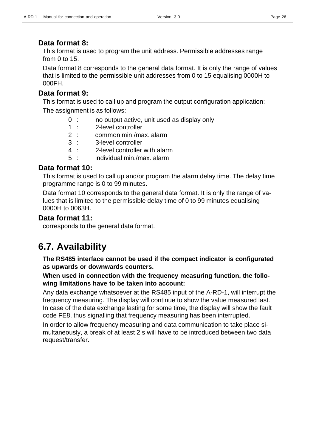#### **Data format 8:**

This format is used to program the unit address. Permissible addresses range from 0 to 15.

Data format 8 corresponds to the general data format. It is only the range of values that is limited to the permissible unit addresses from 0 to 15 equalising 0000H to 000FH.

#### **Data format 9:**

This format is used to call up and program the output configuration application: The assignment is as follows:

- 0 : no output active, unit used as display only
- 1 : 2-level controller
- 2 : common min./max. alarm
- 3 : 3-level controller
- 4 : 2-level controller with alarm
- 5 : individual min./max. alarm

#### **Data format 10:**

This format is used to call up and/or program the alarm delay time. The delay time programme range is 0 to 99 minutes.

Data format 10 corresponds to the general data format. It is only the range of values that is limited to the permissible delay time of 0 to 99 minutes equalising 0000H to 0063H.

#### **Data format 11:**

corresponds to the general data format.

### **6.7. Availability**

**The RS485 interface cannot be used if the compact indicator is configurated as upwards or downwards counters.**

**When used in connection with the frequency measuring function, the following limitations have to be taken into account:**

Any data exchange whatsoever at the RS485 input of the A-RD-1, will interrupt the frequency measuring. The display will continue to show the value measured last. In case of the data exchange lasting for some time, the display will show the fault code FE8, thus signalling that frequency measuring has been interrupted.

In order to allow frequency measuring and data communication to take place simultaneously, a break of at least 2 s will have to be introduced between two data request/transfer.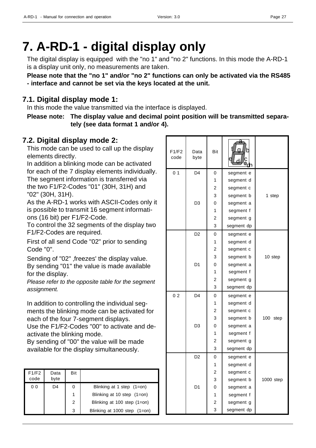## **7. A-RD-1 - digital display only**

The digital display is equipped with the "no 1" and "no 2" functions. In this mode the A-RD-1 is a display unit only, no measurements are taken.

**Please note that the "no 1" and/or "no 2" functions can only be activated via the RS485 - interface and cannot be set via the keys located at the unit.**

#### **7.1. Digital display mode 1:**

In this mode the value transmitted via the interface is displayed.

**Please note: The display value and decimal point position will be transmitted separately (see data format 1 and/or 4).**

#### **7.2. Digital display mode 2:**

This mode can be used to call up the display elements directly.

In addition a blinking mode can be activated for each of the 7 display elements individually. The segment information is transferred via the two F1/F2-Codes "01" (30H, 31H) and "02" (30H, 31H).

As the A-RD-1 works with ASCII-Codes only it is possible to transmit 16 segment informations (16 bit) per F1/F2-Code.

To control the 32 segments of the display two F1/F2-Codes are required.

First of all send Code "02" prior to sending Code "0".

Sending of "02" , freezes' the display value. By sending "01" the value is made available for the display.

*Please refer to the opposite table for the segment assignment.*

In addition to controlling the individual segments the blinking mode can be activated for each of the four 7-segment displays.

Use the F1/F2-Codes "00" to activate and deactivate the blinking mode.

By sending of "00" the value will be made available for the display simultaneously.

| F1/F2<br>code | Data<br>byte | Bit |                               |
|---------------|--------------|-----|-------------------------------|
| 00            | D4           |     | Blinking at 1 step (1=on)     |
|               |              |     | Blinking at 10 step $(1=on)$  |
|               |              | 2   | Blinking at 100 step $(1=on)$ |
|               |              | 3   | Blinking at 1000 step (1=on)  |

| F1/F2<br>code  | Data<br>byte   | Bit |            |             |
|----------------|----------------|-----|------------|-------------|
| 0 <sub>1</sub> | D <sub>4</sub> | 0   | segment e  |             |
|                |                | 1   | segment d  |             |
|                |                | 2   | segment c  |             |
|                |                | 3   | segment b  | 1 step      |
|                | D <sub>3</sub> | 0   | segment a  |             |
|                |                | 1   | segment f  |             |
|                |                | 2   | segment g  |             |
|                |                | 3   | segment dp |             |
|                | D <sub>2</sub> | 0   | segment e  |             |
|                |                | 1   | segment d  |             |
|                |                | 2   | segment c  |             |
|                |                | 3   | segment b  | 10 step     |
|                | D <sub>1</sub> | 0   | segment a  |             |
|                |                | 1   | segment f  |             |
|                |                | 2   | segment g  |             |
|                |                | 3   | segment dp |             |
| 0 <sub>2</sub> | D <sub>4</sub> | 0   | segment e  |             |
|                |                | 1   | segment d  |             |
|                |                | 2   | segment c  |             |
|                |                | 3   | segment b  | 100<br>step |
|                | D <sub>3</sub> | 0   | segment a  |             |
|                |                | 1   | segment f  |             |
|                |                | 2   | segment g  |             |
|                |                | 3   | segment dp |             |
|                | D <sub>2</sub> | 0   | segment e  |             |
|                |                | 1   | segment d  |             |
|                |                | 2   | segment c  |             |
|                |                | 3   | segment b  | 1000 step   |
|                | D <sub>1</sub> | 0   | segment a  |             |
|                |                | 1   | segment f  |             |
|                |                | 2   | segment g  |             |
|                |                | 3   | segment dp |             |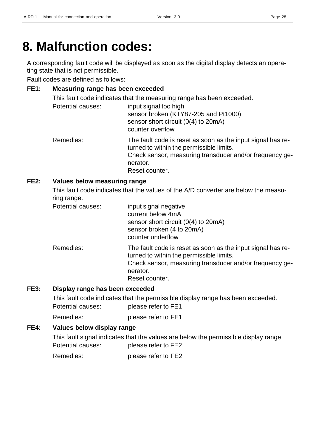## **8. Malfunction codes:**

A corresponding fault code will be displayed as soon as the digital display detects an operating state that is not permissible.

Fault codes are defined as follows:

#### **FE1: Measuring range has been exceeded**

This fault code indicates that the measuring range has been exceeded.

| Potential causes: | input signal too high<br>sensor broken (KTY87-205 and Pt1000)<br>sensor short circuit (0(4) to 20mA)<br>counter overflow                                                       |
|-------------------|--------------------------------------------------------------------------------------------------------------------------------------------------------------------------------|
| Remedies:         | The fault code is reset as soon as the input signal has re-<br>turned to within the permissible limits.<br>Check sensor, measuring transducer and/or frequency ge-<br>nerator. |
|                   | Reset counter.                                                                                                                                                                 |

#### **FE2: Values below measuring range**

This fault code indicates that the values of the A/D converter are below the measuring range.

| Potential causes: | input signal negative<br>current below 4mA<br>sensor short circuit (0(4) to 20mA)<br>sensor broken (4 to 20mA)<br>counter underflow                                                              |
|-------------------|--------------------------------------------------------------------------------------------------------------------------------------------------------------------------------------------------|
| Remedies:         | The fault code is reset as soon as the input signal has re-<br>turned to within the permissible limits.<br>Check sensor, measuring transducer and/or frequency ge-<br>nerator.<br>Reset counter. |

#### **FE3: Display range has been exceeded**

This fault code indicates that the permissible display range has been exceeded. Potential causes: please refer to FE1

Remedies: please refer to FE1

#### **FE4: Values below display range**

This fault signal indicates that the values are below the permissible display range. Potential causes: please refer to FE2

Remedies: please refer to FE2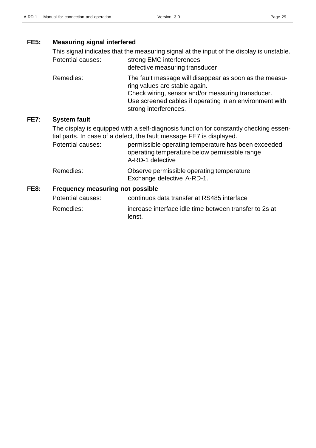**FE7:** 

#### **FE5: Measuring signal interfered**

| This signal indicates that the measuring signal at the input of the display is unstable. |                                                                                                                                                                                                                                  |  |  |  |
|------------------------------------------------------------------------------------------|----------------------------------------------------------------------------------------------------------------------------------------------------------------------------------------------------------------------------------|--|--|--|
| <b>Potential causes:</b>                                                                 | strong EMC interferences<br>defective measuring transducer                                                                                                                                                                       |  |  |  |
| Remedies:                                                                                | The fault message will disappear as soon as the measu-<br>ring values are stable again.<br>Check wiring, sensor and/or measuring transducer.<br>Use screened cables if operating in an environment with<br>strong interferences. |  |  |  |
| <b>System fault</b>                                                                      |                                                                                                                                                                                                                                  |  |  |  |

The display is equipped with a self-diagnosis function for constantly checking essential parts. In case of a defect, the fault message FE7 is displayed.

Potential causes: permissible operating temperature has been exceeded operating temperature below permissible range A-RD-1 defective

#### Remedies: Observe permissible operating temperature Exchange defective A-RD-1.

#### **FE8: Frequency measuring not possible**

| Potential causes: | continuos data transfer at RS485 interface                       |
|-------------------|------------------------------------------------------------------|
| Remedies:         | increase interface idle time between transfer to 2s at<br>lenst. |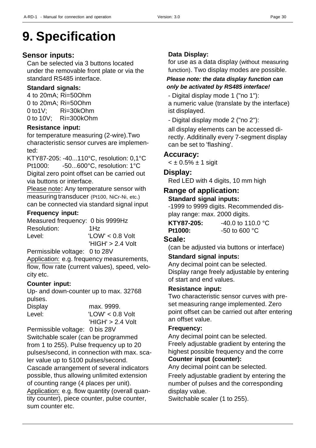# **9. Specification**

#### **Sensor inputs:**

Can be selected via 3 buttons located under the removable front plate or via the standard RS485 interface.

#### **Standard signals:**

4 to 20mA; Ri=50Ohm 0 to 20mA; Ri=50Ohm 0 to1V; Ri=30kOhm 0 to 10V; Ri=300kOhm

#### **Resistance input:**

for temperature measuring (2-wire).Two characteristic sensor curves are implemented:

KTY87-205: -40...110°C, resolution: 0,1°C Pt1000: -50...600°C, resolution: 1°C Digital zero point offset can be carried out via buttons or interface.

Please note**:** Any temperature sensor with measuring transducer (Pt100, NiCr-Ni, etc.) can be connected via standard signal input

#### **Frequency input:**

Measured frequency: 0 bis 9999Hz Resolution: 1Hz Level: 'LOW' < 0.8 Volt

'HIGH' > 2.4 Volt

Permissible voltage: 0 to 28V

Application: e.g. frequency measurements, flow, flow rate (current values), speed, velocity etc.

#### **Counter input:**

Up- and down-counter up to max. 32768 pulses.

| Display | max. 9999.          |
|---------|---------------------|
| Level:  | $'LOW' < 0.8$ Volt  |
|         | $'HIGH' > 2.4$ Volt |

Permissible voltage: 0 bis 28V Switchable scaler (can be programmed from 1 to 255). Pulse frequency up to 20 pulses/second, in connection with max. scaler value up to 5100 pulses/second. Cascade arrangement of several indicators possible, thus allowing unlimited extension of counting range (4 places per unit). Application: e.g. flow quantity (overall quantity counter), piece counter, pulse counter, sum counter etc.

#### **Data Display:**

for use as a data display (without measuring function). Two display modes are possible.

#### *Please note: the data display function can only be activated by RS485 interface!*

- Digital display mode 1 ("no 1"): a numeric value (translate by the interface) ist displayed.

- Digital display mode 2 ("no 2"):

all display elements can be accessed directly. Additinally every 7-segment display can be set to 'flashing'.

#### **Accuracy:**

 $<$  ± 0.5% ± 1 sigit

#### **Display:**

Red LED with 4 digits, 10 mm high

#### **Range of application:**

#### **Standard signal inputs:**

-1999 to 9999 digits. Recommended display range: max. 2000 digits.

| KTY87-205: | $-40.0$ to 110.0 °C       |
|------------|---------------------------|
| Pt1000:    | $-50$ to 600 $^{\circ}$ C |

#### **Scale:**

(can be adjusted via buttons or interface)

#### **Standard signal inputs:**

Any decimal point can be selected. Display range freely adjustable by entering of start and end values.

#### **Resistance input:**

Two characteristic sensor curves with preset measuring range implemented. Zero point offset can be carried out after entering an offset value.

#### **Frequency:**

Any decimal point can be selected. Freely adjustable gradient by entering the highest possible frequency and the corre **Counter input (counter):**

Any decimal point can be selected.

Freely adjustable gradient by entering the number of pulses and the corresponding display value.

Switchable scaler (1 to 255).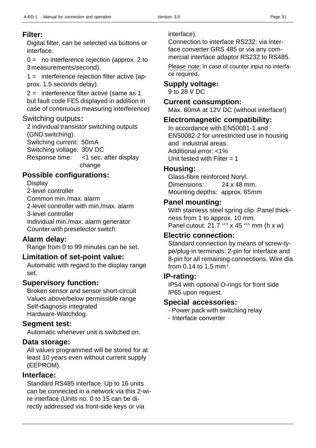#### **Filter:**

Digital filter, can be selected via buttons or interface.

 $0 =$  no interference rejection (approx. 2 to 3 measurements/second).

1 = interference rejection filter active (approx. 1.5 seconds delay).

2 = interference filter active (same as 1 but fault code FE5 displayed in addition in case of continuous measuring interference)

#### Switching outputs**:**

2 individual transistor switching outputs (GND switching). Switching current: 50mA Switching voltage: 30V DC Response time: <1 sec. after display change

#### **Possible configurations:**

**Display** 

2-level controller Common min./max. alarm 2-level controller with min./max. alarm

3-level controller

Individual min./max. alarm generator Counter with preselector switch

#### **Alarm delay:**

Range from 0 to 99 minutes can be set.

#### **Limitation of set-point value:**

Automatic with regard to the display range set.

#### **Supervisory function:**

Broken sensor and sensor short-circuit Values above/below permissible range Self-diagnosis integrated Hardware-Watchdog.

#### **Segment test:**

Automatic whenever unit is switched on.

#### **Data storage:**

All values programmed will be stored for at least 10 years even without current supply (EEPROM).

#### **Interface:**

Standard RS485 interface. Up to 16 units can be connected in a network via this 2-wire interface (Units no. 0 to 15 can be directly addressed via front-side keys or via

interface).

Connection to interface RS232: via interface converter GRS 485 or via any commercial interface adaptor RS232 to RS485.

Please note: In case of counter input no interface required.

#### **Supply voltage:**

9 to 28 V DC

#### **Current consumption:**

Max. 60mA at 12V DC (without interface!)

#### **Electromagnetic compatibility:**

In accordance with EN50081-1 and EN50082-2 for unrestricted use in housing and industrial areas. Additional error: <1% Unit tested with Filter  $= 1$ 

#### **Housing:**

Glass-fibre reinforced Noryl. Dimensions: 24 x 48 mm. Mounting depths: approx. 65mm

#### **Panel mounting:**

With stainless steel spring clip. Panel thickness from 1 to approx. 10 mm. Panel cutout:  $21.7^{+0.5} \times 45^{+0.5}$  mm (h x w)

#### **Electric connection:**

Standard connection by means of screw-type/plug-in terminals: 2-pin for interface and 8-pin for all remaining connections. Wire dia from 0.14 to 1.5 mm<sup>2</sup>.

#### **IP-rating:**

IP54 with optional O-rings for front side IP65 upon request.

#### **Special accessories:**

- Power pack with switching relay
- Interface converter